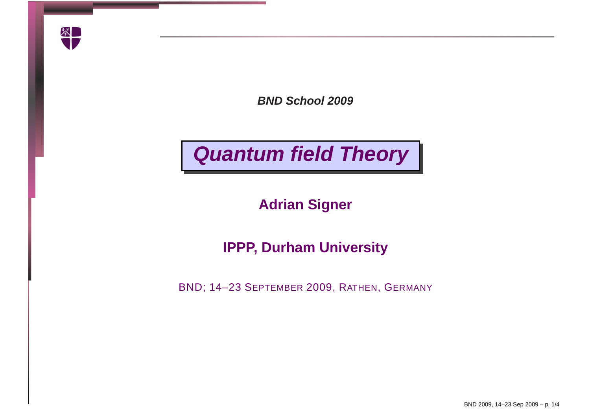

**BND School 2009**

## **Quantum field Theory**

**Adrian Signer**

## **IPPP, Durham University**

BND; 14–23 SEPTEMBER 2009, <sup>R</sup>ATHEN, <sup>G</sup>ERMANY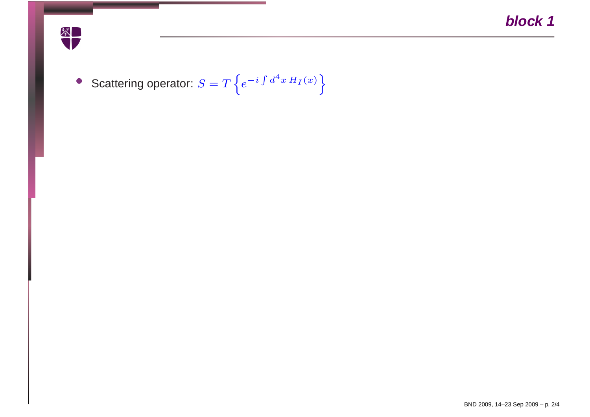

• Scattering operator:  $S$  $= T$  $T\left\{ \right. \right. \left\{ \right. \left\{ \right. \left\{ \right. \left\{ \right. \left. \right\} \left. \right\} \left. \right\}$  $\it e$  $-i \int d$  $d^4x H$  $\left.\int_I(x)\right.\Bigg\}$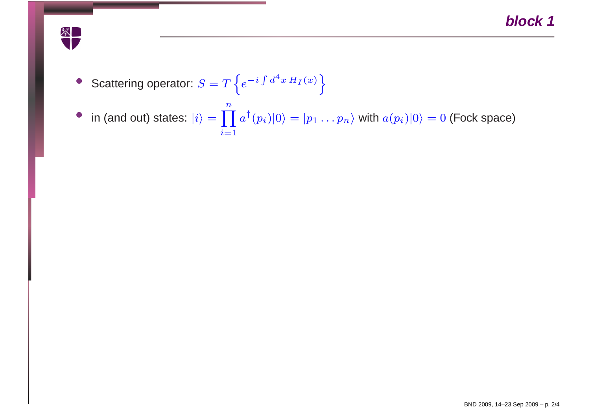

• Scattering operator: 
$$
S = T \left\{ e^{-i \int d^4x \, H_I(x)} \right\}
$$

• in (and out) states:  $|i\rangle = \prod_{i=1}$  $\boldsymbol{n}$  $\prod_i a^\dagger(p_i)|0\rangle = |p_1\ldots p_n\rangle$  with  $a(p_i)|0\rangle = 0$  (Fock space)  $i=1$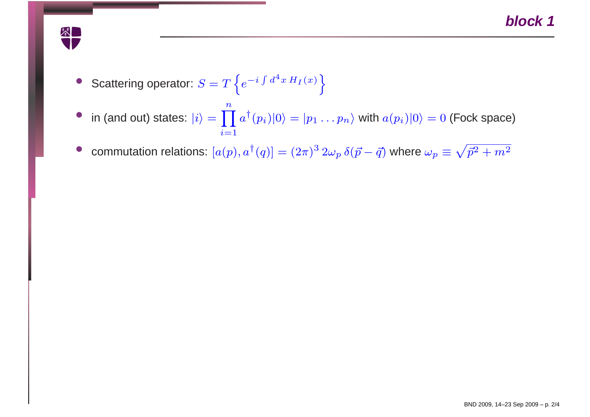

- Scattering operator:  $S = T \left\{ e^{-i \int d^4x \, H_I(x)} \right\}$
- in (and out) states:  $|i\rangle = \prod_{i=1}$  $\boldsymbol{n}$  $\prod_i a^\dagger(p_i)|0\rangle = |p_1\ldots p_n\rangle$  with  $a(p_i)|0\rangle = 0$  (Fock space)  $i=1$

•commutation relations:  $[a(p), a^{\dagger}(q)] = (2\pi)^3 2\omega_p \, \delta(\vec{p} - \vec{q})$  where  $\omega_p \equiv \sqrt{\vec{p}^2 + m^2}$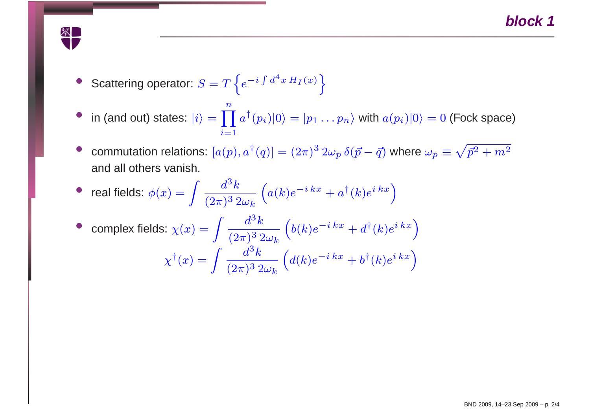

- Scattering operator:  $S = T \left\{ e^{-i \int d^4x \, H_I(x)} \right\}$
- in (and out) states:  $|i\rangle = \prod_{i=1}$  $\boldsymbol{n}$  $\prod_i a^\dagger(p_i)|0\rangle = |p_1\ldots p_n\rangle$  with  $a(p_i)|0\rangle = 0$  (Fock space)  $i=1$
- •commutation relations:  $[a(p), a^{\dagger}(q)] = (2\pi)^3 2\omega_p \, \delta(\vec{p} - \vec{q})$  where  $\omega_p \equiv \sqrt{\vec{p}^2 + m^2}$ and all others vanish.

• real fields: 
$$
\phi(x) = \int \frac{d^3k}{(2\pi)^3 2\omega_k} \left( a(k)e^{-ikx} + a^{\dagger}(k)e^{i kx} \right)
$$
  
• complex fields: 
$$
\chi(x) = \int \frac{d^3k}{(2\pi)^3 2\omega_k} \left( b(k)e^{-i kx} + d^{\dagger}(k)e^{i kx} \right)
$$

$$
\chi^{\dagger}(x) = \int \frac{d^3k}{(2\pi)^3 2\omega_k} \left( d(k)e^{-i kx} + b^{\dagger}(k)e^{i kx} \right)
$$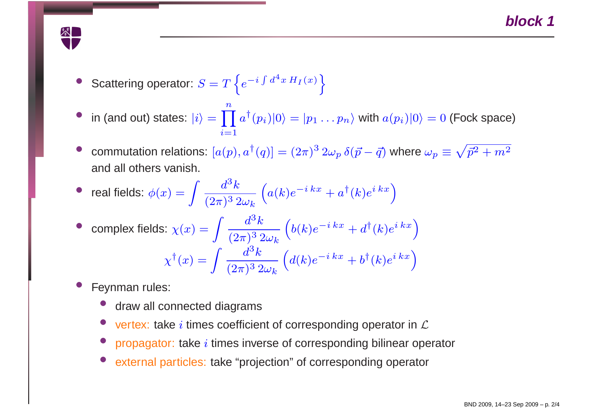

- •● Scattering operator:  $S = T\left\{e^{-i\int d^4x H_I(x)}\right\}$
- in (and out) states:  $|i\rangle = \prod_{i=1}$  $\boldsymbol{n}$  $\prod_i a^\dagger(p_i)|0\rangle = |p_1\ldots p_n\rangle$  with  $a(p_i)|0\rangle = 0$  (Fock space)  $i{=}1$
- •commutation relations:  $[a(p), a^{\dagger}(q)] = (2\pi)^3 2\omega_p \, \delta(\vec{p} - \vec{q})$  where  $\omega_p \equiv \sqrt{\vec{p}^2 + m^2}$ and all others vanish.

• real fields: 
$$
\phi(x) = \int \frac{d^3k}{(2\pi)^3 2\omega_k} \left( a(k)e^{-ikx} + a^{\dagger}(k)e^{ikx} \right)
$$
  
• complex fields: 
$$
\chi(x) = \int \frac{d^3k}{(2\pi)^3 2\omega_k} \left( b(k)e^{-ikx} + d^{\dagger}(k)e^{ikx} \right)
$$

$$
\chi^{\dagger}(x) = \int \frac{d^3k}{(2\pi)^3 2\omega_k} \left( d(k)e^{-i kx} + b^{\dagger}(k)e^{i kx} \right)
$$

- • Feynman rules:
	- •draw all connected diagrams
	- •• vertex: take i times coefficient of corresponding operator in  $\mathcal L$
	- propagator: take  $i$  times inverse of corresponding bilinear operator •
	- •external particles: take "projection" of corresponding operator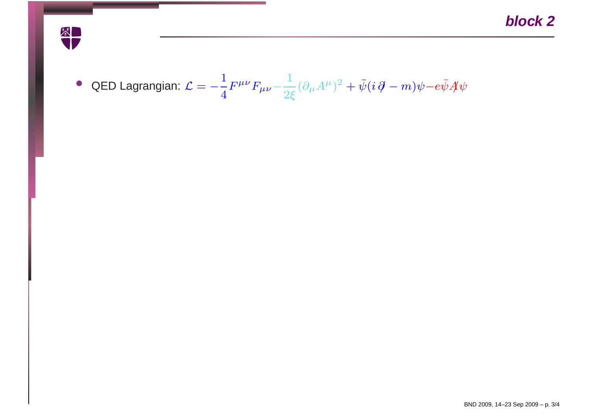

• QED Lagrangian: C 1 4 $F^{\mu\nu}F_{\mu\nu}$ 1 2ξ $(\partial_\mu$  $\displaystyle {\it A}$  $^\mu)$ 2 $^{\circ}$  +  $\bar{\psi}$ (i  $\partial\!\!\!/\,$  $m)\psi$ − $e\bar{\psi}A\psi$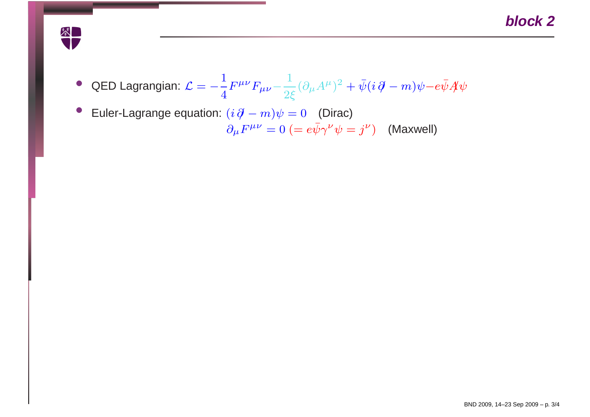

- QED Lagrangian: C 1 4 $F^{\mu\nu}F_{\mu\nu}$ 1 2ξ $(\partial_\mu$  $\displaystyle {\it A}$  $^\mu)$ 2 $^{\circ}$  +  $\bar{\psi}$ (i  $\partial\!\!\!/\,$  $m)\psi$ − $e\bar{\psi}A\psi$
- •■ Euler-Lagrange equation:  $(i \partial \hspace{-.05in} - m) \psi = 0$  (Dirac)  $\partial_\mu F^{\mu\nu} = 0 \ (=e \bar{\psi} \gamma^\nu$  $\psi^{\nu}=\dot{\jmath}^{\nu}$  $^{\nu})$  (Maxwell)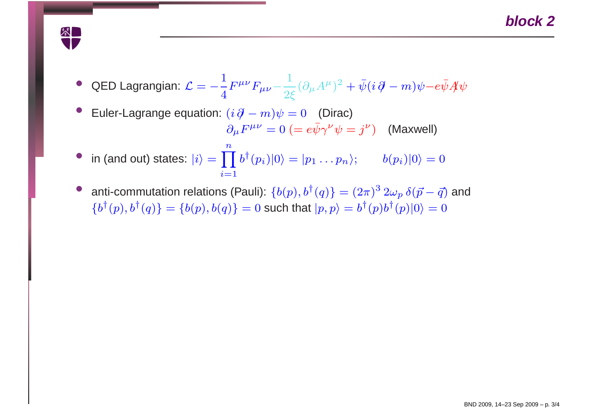

- QED Lagrangian:  $\mathcal{L} = -\frac{1}{4}F^{\mu\nu}F_{\mu\nu} \frac{1}{2\xi}(\partial_{\mu}A^{\mu})^2 + \bar{\psi}(i\partial\!\!\!/-m)\psi e\bar{\psi}A\psi$
- •■ Euler-Lagrange equation:  $(i \partial \hspace{-.05in} - m) \psi = 0$  (Dirac)  $\partial_{\mu}F^{\mu\nu}=0~(=e\bar{\psi}\gamma^{\nu}\psi=j^{\nu})~~~~$  (Maxwell)
- •• in (and out) states:  $|i\rangle = \prod_{i=1} b^{\dagger}(p_i)|0\rangle = |p_1 \dots p_n\rangle;$   $b(p_i)|0\rangle = 0$  $\pmb{n}$  $i{=}1$
- •• anti-commutation relations (Pauli):  $\{b(p), b^\dagger(q)\} = (2\pi)^3 2\omega_p \,\delta(\vec{p} - \vec{q})$  and  ${b^{\dagger}(p), b^{\dagger}(q)} = {b(p), b(q)} = 0$  such that  $|p, p \rangle = b^{\dagger}(p)b^{\dagger}(p)|0 \rangle = 0$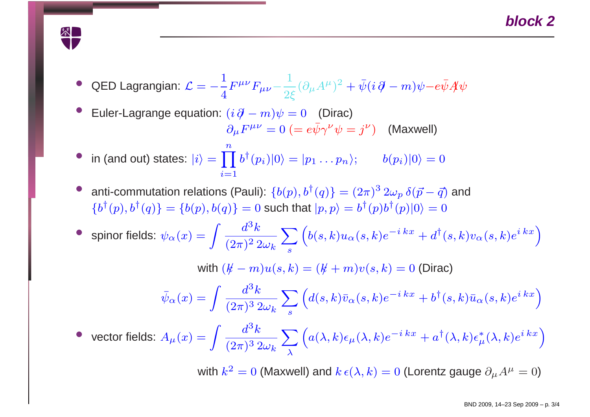

- QED Lagrangian:  $\mathcal{L} = -\frac{1}{4}F^{\mu\nu}F_{\mu\nu} \frac{1}{2\xi}(\partial_{\mu}A^{\mu})^2 + \bar{\psi}(i\partial\!\!\!/-m)\psi e\bar{\psi}A\psi$
- •■ Euler-Lagrange equation:  $(i \partial \hspace{-.05in} - m) \psi = 0$  (Dirac)  $\partial_{\mu}F^{\mu\nu}=0~(=e\bar{\psi}\gamma^{\nu}\psi=j^{\nu})~~~~$  (Maxwell)
- in (and out) states:  $|i\rangle = \prod_{i=1} b^{\dagger}(p_i)|0\rangle = |p_1 \dots p_n\rangle;$   $b(p_i)|0\rangle = 0$  $\pmb{n}$  $i{=}1$
- •• anti-commutation relations (Pauli):  $\{b(p), b^\dagger(q)\} = (2\pi)^3 2\omega_p \,\delta(\vec{p} - \vec{q})$  and  ${b^{\dagger}(p), b^{\dagger}(q)} = {b(p), b(q)} = 0$  such that  $|p, p \rangle = b^{\dagger}(p)b^{\dagger}(p)|0 \rangle = 0$

 $\bullet \;\;$  spinor fields:  $\psi_\alpha(x) =$  $=\int \frac{d^3k}{(2\pi)^2\,2\omega_k}\sum_s \left(b(s,k)u_\alpha(s,k)e^{-i\,kx}+d^\dagger(s,k)v_\alpha(s,k)e^{i\,kx}\right)$ 

with  $(k\!\!\!/ -m)u(s,k) = (k\!\!\!/ +m)v(s,k) = 0$  (Dirac)

$$
\bar{\psi}_{\alpha}(x) = \int \frac{d^3k}{(2\pi)^3 2\omega_k} \sum_{s} \left( d(s,k)\bar{v}_{\alpha}(s,k)e^{-ikx} + b^{\dagger}(s,k)\bar{u}_{\alpha}(s,k)e^{ikx} \right)
$$

• vector fields:  $A_\mu(x) =$  $=\int \frac{d^3k}{(2\pi)^3\,2\omega_k}\sum_\lambda \left(a(\lambda,k)\epsilon_\mu(\lambda,k)e^{-i\,kx}+a^\dagger(\lambda,k)\epsilon^*_\mu(\lambda,k)e^{i\,kx}\right)$ 

with  $k^2=0$  (Maxwell) and  $k\,\epsilon(\lambda,k)=0$  (Lorentz gauge  $\partial_\mu A^\mu=0$ )